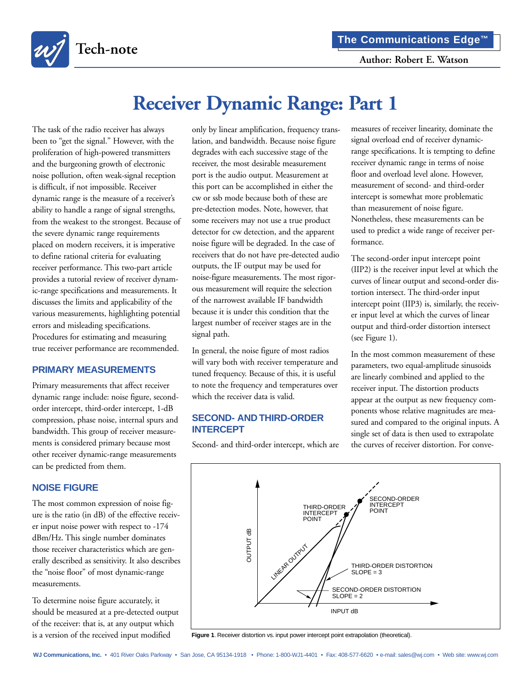

# **Receiver Dynamic Range: Part 1**

The task of the radio receiver has always been to "get the signal." However, with the proliferation of high-powered transmitters and the burgeoning growth of electronic noise pollution, often weak-signal reception is difficult, if not impossible. Receiver dynamic range is the measure of a receiver's ability to handle a range of signal strengths, from the weakest to the strongest. Because of the severe dynamic range requirements placed on modern receivers, it is imperative to define rational criteria for evaluating receiver performance. This two-part article provides a tutorial review of receiver dynamic-range specifications and measurements. It discusses the limits and applicability of the various measurements, highlighting potential errors and misleading specifications. Procedures for estimating and measuring true receiver performance are recommended.

#### **PRIMARY MEASUREMENTS**

Primary measurements that affect receiver dynamic range include: noise figure, secondorder intercept, third-order intercept, 1-dB compression, phase noise, internal spurs and bandwidth. This group of receiver measurements is considered primary because most other receiver dynamic-range measurements can be predicted from them.

## **NOISE FIGURE**

The most common expression of noise figure is the ratio (in dB) of the effective receiver input noise power with respect to -174 dBm/Hz. This single number dominates those receiver characteristics which are generally described as sensitivity. It also describes the "noise floor" of most dynamic-range measurements.

To determine noise figure accurately, it should be measured at a pre-detected output of the receiver: that is, at any output which is a version of the received input modified

only by linear amplification, frequency translation, and bandwidth. Because noise figure degrades with each successive stage of the receiver, the most desirable measurement port is the audio output. Measurement at this port can be accomplished in either the cw or ssb mode because both of these are pre-detection modes. Note, however, that some receivers may not use a true product detector for cw detection, and the apparent noise figure will be degraded. In the case of receivers that do not have pre-detected audio outputs, the IF output may be used for noise-figure measurements. The most rigorous measurement will require the selection of the narrowest available IF bandwidth because it is under this condition that the largest number of receiver stages are in the signal path.

In general, the noise figure of most radios will vary both with receiver temperature and tuned frequency. Because of this, it is useful to note the frequency and temperatures over which the receiver data is valid.

# **SECOND- AND THIRD-ORDER INTERCEPT**

Second- and third-order intercept, which are

measures of receiver linearity, dominate the signal overload end of receiver dynamicrange specifications. It is tempting to define receiver dynamic range in terms of noise floor and overload level alone. However, measurement of second- and third-order intercept is somewhat more problematic than measurement of noise figure. Nonetheless, these measurements can be used to predict a wide range of receiver performance.

The second-order input intercept point (IIP2) is the receiver input level at which the curves of linear output and second-order distortion intersect. The third-order input intercept point (IIP3) is, similarly, the receiver input level at which the curves of linear output and third-order distortion intersect (see Figure 1).

In the most common measurement of these parameters, two equal-amplitude sinusoids are linearly combined and applied to the receiver input. The distortion products appear at the output as new frequency components whose relative magnitudes are measured and compared to the original inputs. A single set of data is then used to extrapolate the curves of receiver distortion. For conve-



Figure 1. Receiver distortion vs. input power intercept point extrapolation (theoretical).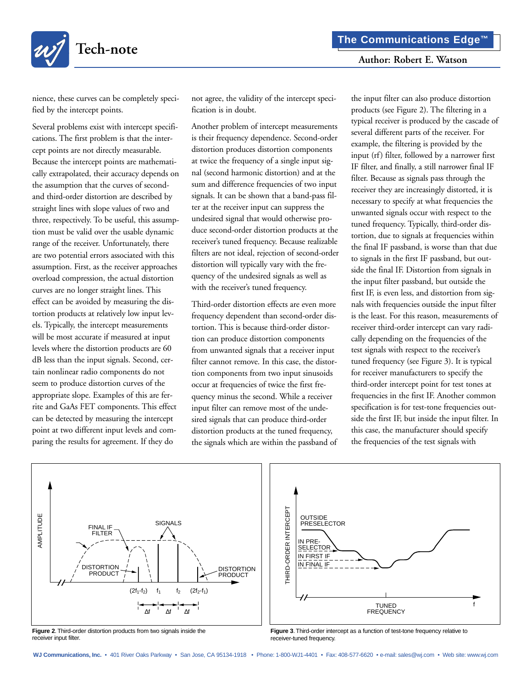

nience, these curves can be completely specified by the intercept points.

Several problems exist with intercept specifications. The first problem is that the intercept points are not directly measurable. Because the intercept points are mathematically extrapolated, their accuracy depends on the assumption that the curves of secondand third-order distortion are described by straight lines with slope values of two and three, respectively. To be useful, this assumption must be valid over the usable dynamic range of the receiver. Unfortunately, there are two potential errors associated with this assumption. First, as the receiver approaches overload compression, the actual distortion curves are no longer straight lines. This effect can be avoided by measuring the distortion products at relatively low input levels. Typically, the intercept measurements will be most accurate if measured at input levels where the distortion products are 60 dB less than the input signals. Second, certain nonlinear radio components do not seem to produce distortion curves of the appropriate slope. Examples of this are ferrite and GaAs FET components. This effect can be detected by measuring the intercept point at two different input levels and comparing the results for agreement. If they do

not agree, the validity of the intercept specification is in doubt.

Another problem of intercept measurements is their frequency dependence. Second-order distortion produces distortion components at twice the frequency of a single input signal (second harmonic distortion) and at the sum and difference frequencies of two input signals. It can be shown that a band-pass filter at the receiver input can suppress the undesired signal that would otherwise produce second-order distortion products at the receiver's tuned frequency. Because realizable filters are not ideal, rejection of second-order distortion will typically vary with the frequency of the undesired signals as well as with the receiver's tuned frequency.

Third-order distortion effects are even more frequency dependent than second-order distortion. This is because third-order distortion can produce distortion components from unwanted signals that a receiver input filter cannot remove. In this case, the distortion components from two input sinusoids occur at frequencies of twice the first frequency minus the second. While a receiver input filter can remove most of the undesired signals that can produce third-order distortion products at the tuned frequency, the signals which are within the passband of the input filter can also produce distortion products (see Figure 2). The filtering in a typical receiver is produced by the cascade of several different parts of the receiver. For example, the filtering is provided by the input (rf) filter, followed by a narrower first IF filter, and finally, a still narrower final IF filter. Because as signals pass through the receiver they are increasingly distorted, it is necessary to specify at what frequencies the unwanted signals occur with respect to the tuned frequency. Typically, third-order distortion, due to signals at frequencies within the final IF passband, is worse than that due to signals in the first IF passband, but outside the final IF. Distortion from signals in the input filter passband, but outside the first IF, is even less, and distortion from signals with frequencies outside the input filter is the least. For this reason, measurements of receiver third-order intercept can vary radically depending on the frequencies of the test signals with respect to the receiver's tuned frequency (see Figure 3). It is typical for receiver manufacturers to specify the third-order intercept point for test tones at frequencies in the first IF. Another common specification is for test-tone frequencies outside the first IF, but inside the input filter. In this case, the manufacturer should specify the frequencies of the test signals with



**Figure 2**. Third-order distortion products from two signals inside the receiver input filter.



**Figure 3**. Third-order intercept as a function of test-tone frequency relative to receiver-tuned frequency.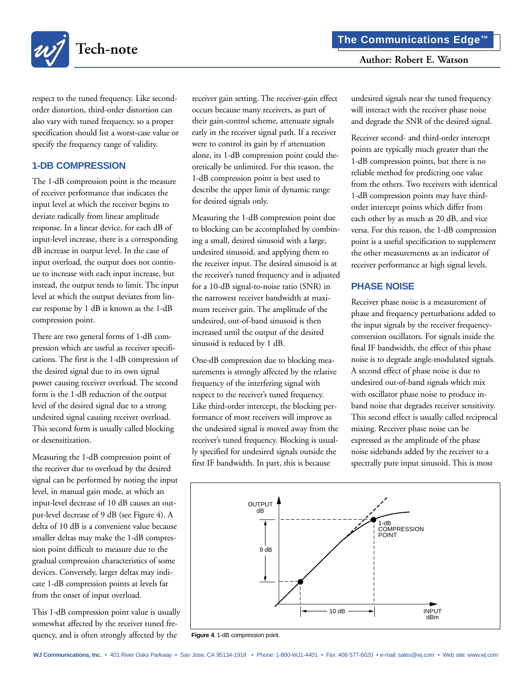

respect to the tuned frequency. Like secondorder distortion, third-order distortion can also vary with tuned frequency, so a proper specification should list a worst-case value or specify the frequency range of validity.

## **1-DB COMPRESSION**

The 1-dB compression point is the measure of receiver performance that indicates the input level at which the receiver begins to deviate radically from linear amplitude response. In a linear device, for each dB of input-level increase, there is a corresponding dB increase in output level. In the case of input overload, the output does not continue to increase with each input increase, but instead, the output tends to limit. The input level at which the output deviates from linear response by 1 dB is known as the 1-dB compression point.

There are two general forms of 1-dB compression which are useful as receiver specifications. The first is the 1-dB compression of the desired signal due to its own signal power causing receiver overload. The second form is the 1-dB reduction of the output level of the desired signal due to a strong undesired signal causing receiver overload. This second form is usually called blocking or desensitization.

Measuring the 1-dB compression point of the receiver due to overload by the desired signal can be performed by noting the input level, in manual gain mode, at which an input-level decrease of 10 dB causes an output-level decrease of 9 dB (see Figure 4). A delta of 10 dB is a convenient value because smaller deltas may make the 1-dB compression point difficult to measure due to the gradual compression characteristics of some devices. Conversely, larger deltas may indicate 1-dB compression points at levels far from the onset of input overload.

This 1-dB compression point value is usually somewhat affected by the receiver tuned frequency, and is often strongly affected by the

receiver gain setting. The receiver-gain effect occurs because many receivers, as part of their gain-control scheme, attenuate signals early in the receiver signal path. If a receiver were to control its gain by rf attenuation alone, its 1-dB compression point could theoretically be unlimited. For this reason, the 1-dB compression point is best used to describe the upper limit of dynamic range for desired signals only.

Measuring the 1-dB compression point due to blocking can be accomplished by combining a small, desired sinusoid with a large, undesired sinusoid, and applying them to the receiver input. The desired sinusoid is at the receiver's tuned frequency and is adjusted for a 10-dB signal-to-noise ratio (SNR) in the narrowest receiver bandwidth at maximum receiver gain. The amplitude of the undesired, out-of-band sinusoid is then increased until the output of the desired sinusoid is reduced by 1 dB.

One-dB compression due to blocking measurements is strongly affected by the relative frequency of the interfering signal with respect to the receiver's tuned frequency. Like third-order intercept, the blocking performance of most receivers will improve as the undesired signal is moved away from the receiver's tuned frequency. Blocking is usually specified for undesired signals outside the first IF bandwidth. In part, this is because

undesired signals near the tuned frequency will interact with the receiver phase noise and degrade the SNR of the desired signal.

Receiver second- and third-order intercept points are typically much greater than the 1-dB compression points, but there is no reliable method for predicting one value from the others. Two receivers with identical 1-dB compression points may have thirdorder intercept points which differ from each other by as much as 20 dB, and vice versa. For this reason, the 1-dB compression point is a useful specification to supplement the other measurements as an indicator of receiver performance at high signal levels.

# **PHASE NOISE**

Receiver phase noise is a measurement of phase and frequency perturbations added to the input signals by the receiver frequencyconversion oscillators. For signals inside the final IF bandwidth, the effect of this phase noise is to degrade angle-modulated signals. A second effect of phase noise is due to undesired out-of-band signals which mix with oscillator phase noise to produce inband noise that degrades receiver sensitivity. This second effect is usually called reciprocal mixing. Receiver phase noise can be expressed as the amplitude of the phase noise sidebands added by the receiver to a spectrally pure input sinusoid. This is most



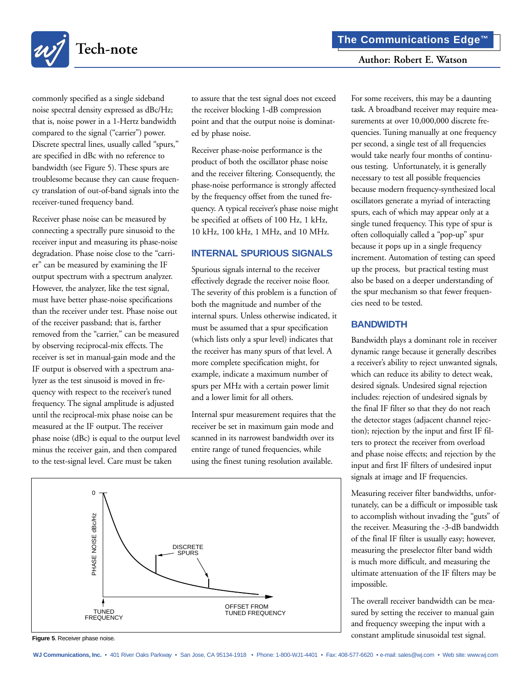For some receivers, this may be a daunting



Receiver phase noise can be measured by connecting a spectrally pure sinusoid to the receiver input and measuring its phase-noise degradation. Phase noise close to the "carrier" can be measured by examining the IF output spectrum with a spectrum analyzer. However, the analyzer, like the test signal, must have better phase-noise specifications than the receiver under test. Phase noise out of the receiver passband; that is, farther removed from the "carrier," can be measured by observing reciprocal-mix effects. The receiver is set in manual-gain mode and the IF output is observed with a spectrum analyzer as the test sinusoid is moved in frequency with respect to the receiver's tuned frequency. The signal amplitude is adjusted until the reciprocal-mix phase noise can be measured at the IF output. The receiver phase noise (dBc) is equal to the output level minus the receiver gain, and then compared to the test-signal level. Care must be taken

to assure that the test signal does not exceed the receiver blocking 1-dB compression point and that the output noise is dominated by phase noise.

Receiver phase-noise performance is the product of both the oscillator phase noise and the receiver filtering. Consequently, the phase-noise performance is strongly affected by the frequency offset from the tuned frequency. A typical receiver's phase noise might be specified at offsets of 100 Hz, 1 kHz, 10 kHz, 100 kHz, 1 MHz, and 10 MHz.

## **INTERNAL SPURIOUS SIGNALS**

Spurious signals internal to the receiver effectively degrade the receiver noise floor. The severity of this problem is a function of both the magnitude and number of the internal spurs. Unless otherwise indicated, it must be assumed that a spur specification (which lists only a spur level) indicates that the receiver has many spurs of that level. A more complete specification might, for example, indicate a maximum number of spurs per MHz with a certain power limit and a lower limit for all others.

Internal spur measurement requires that the receiver be set in maximum gain mode and scanned in its narrowest bandwidth over its entire range of tuned frequencies, while using the finest tuning resolution available.

task. A broadband receiver may require measurements at over 10,000,000 discrete frequencies. Tuning manually at one frequency per second, a single test of all frequencies would take nearly four months of continuous testing. Unfortunately, it is generally necessary to test all possible frequencies because modern frequency-synthesized local oscillators generate a myriad of interacting

spurs, each of which may appear only at a single tuned frequency. This type of spur is often colloquially called a "pop-up" spur because it pops up in a single frequency increment. Automation of testing can speed up the process, but practical testing must also be based on a deeper understanding of the spur mechanism so that fewer frequencies need to be tested.

## **BANDWIDTH**

Bandwidth plays a dominant role in receiver dynamic range because it generally describes a receiver's ability to reject unwanted signals, which can reduce its ability to detect weak, desired signals. Undesired signal rejection includes: rejection of undesired signals by the final IF filter so that they do not reach the detector stages (adjacent channel rejection); rejection by the input and first IF filters to protect the receiver from overload and phase noise effects; and rejection by the input and first IF filters of undesired input signals at image and IF frequencies.

Measuring receiver filter bandwidths, unfortunately, can be a difficult or impossible task to accomplish without invading the "guts" of the receiver. Measuring the -3-dB bandwidth of the final IF filter is usually easy; however, measuring the preselector filter band width is much more difficult, and measuring the ultimate attenuation of the IF filters may be impossible.

The overall receiver bandwidth can be measured by setting the receiver to manual gain and frequency sweeping the input with a constant amplitude sinusoidal test signal.



**Figure 5**. Receiver phase noise.

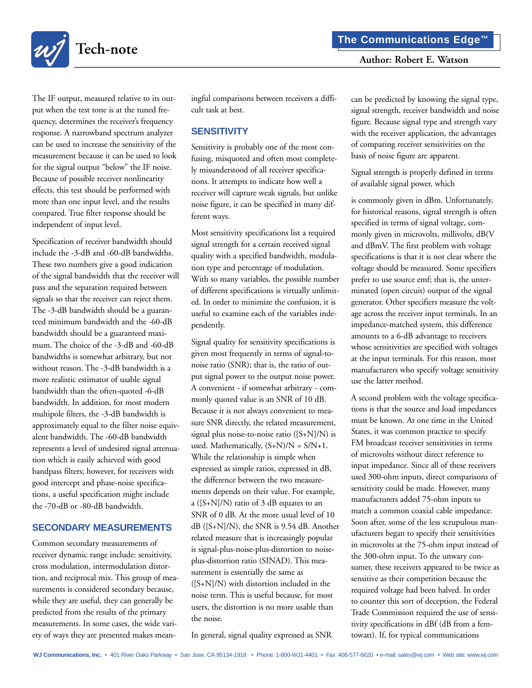

The IF output, measured relative to its output when the test tone is at the tuned frequency, determines the receiver's frequency response. A narrowband spectrum analyzer can be used to increase the sensitivity of the measurement because it can be used to look for the signal output "below" the IF noise. Because of possible receiver nonlinearity effects, this test should be performed with more than one input level, and the results compared. True filter response should be independent of input level.

Specification of receiver bandwidth should include the -3-dB and -60-dB bandwidths. These two numbers give a good indication of the signal bandwidth that the receiver will pass and the separation required between signals so that the receiver can reject them. The -3-dB bandwidth should be a guaranteed minimum bandwidth and the -60-dB bandwidth should be a guaranteed maximum. The choice of the -3-dB and -60-dB bandwidths is somewhat arbitrary, but not without reason. The -3-dB bandwidth is a more realistic estimator of usable signal bandwidth than the often-quoted -6-dB bandwidth. In addition, for most modern multipole filters, the -3-dB bandwidth is approximately equal to the filter noise equivalent bandwidth. The -60-dB bandwidth represents a level of undesired signal attenuation which is easily achieved with good bandpass filters; however, for receivers with good intercept and phase-noise specifications, a useful specification might include the -70-dB or -80-dB bandwidth.

#### **SECONDARY MEASUREMENTS**

Common secondary measurements of receiver dynamic range include: sensitivity, cross modulation, intermodulation distortion, and reciprocal mix. This group of measurements is considered secondary because, while they are useful, they can generally be predicted from the results of the primary measurements. In some cases, the wide variety of ways they are presented makes mean-

ingful comparisons between receivers a difficult task at best.

#### **SENSITIVITY**

Sensitivity is probably one of the most confusing, misquoted and often most completely misunderstood of all receiver specifications. It attempts to indicate how well a receiver will capture weak signals, but unlike noise figure, it can be specified in many different ways.

Most sensitivity specifications list a required signal strength for a certain received signal quality with a specified bandwidth, modulation type and percentage of modulation. With so many variables, the possible number of different specifications is virtually unlimited. In order to minimize the confusion, it is useful to examine each of the variables independently.

Signal quality for sensitivity specifications is given most frequently in terms of signal-tonoise ratio (SNR); that is, the ratio of output signal power to the output noise power. A convenient - if somewhat arbitrary - commonly quoted value is an SNR of 10 dB. Because it is not always convenient to measure SNR directly, the related measurement, signal plus noise-to-noise ratio  $([S+N]/N)$  is used. Mathematically,  $(S+N)/N = S/N+1$ . While the relationship is simple when expressed as simple ratios, expressed in dB, the difference between the two measurements depends on their value. For example, a ([S+N]/N) ratio of 3 dB equates to an SNR of 0 dB. At the more usual level of 10 dB ([S+N]/N), the SNR is 9.54 dB. Another related measure that is increasingly popular is signal-plus-noise-plus-distortion to noiseplus-distortion ratio (SINAD). This measurement is essentially the same as  $([S+N]/N)$  with distortion included in the noise term. This is useful because, for most users, the distortion is no more usable than the noise.

In general, signal quality expressed as SNR

can be predicted by knowing the signal type, signal strength, receiver bandwidth and noise figure. Because signal type and strength vary with the receiver application, the advantages of comparing receiver sensitivities on the basis of noise figure are apparent.

Signal strength is properly defined in terms of available signal power, which

is commonly given in dBm. Unfortunately, for historical reasons, signal strength is often specified in terms of signal voltage, commonly given in microvolts, millivolts, dB(V and dBmV. The first problem with voltage specifications is that it is not clear where the voltage should be measured. Some specifiers prefer to use source emf; that is, the unterminated (open circuit) output of the signal generator. Other specifiers measure the voltage across the receiver input terminals. In an impedance-matched system, this difference amounts to a 6-dB advantage to receivers whose sensitivities are specified with voltages at the input terminals. For this reason, most manufacturers who specify voltage sensitivity use the latter method.

A second problem with the voltage specifications is that the source and load impedances must be known. At one time in the United States, it was common practice to specify FM broadcast receiver sensitivities in terms of microvolts without direct reference to input impedance. Since all of these receivers used 300-ohm inputs, direct comparisons of sensitivity could be made. However, many manufacturers added 75-ohm inputs to match a common coaxial cable impedance. Soon after, some of the less scrupulous manufacturers began to specify their sensitivities in microvolts at the 75-ohm input instead of the 300-ohm input. To the unwary consumer, these receivers appeared to be twice as sensitive as their competition because the required voltage had been halved. In order to counter this sort of deception, the Federal Trade Commission required the use of sensitivity specifications in dBf (dB from a femtowatt). If, for typical communications

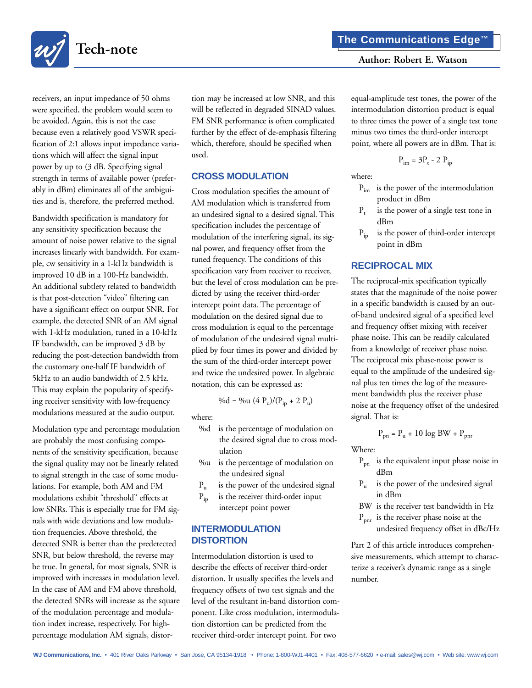

receivers, an input impedance of 50 ohms were specified, the problem would seem to be avoided. Again, this is not the case because even a relatively good VSWR specification of 2:1 allows input impedance variations which will affect the signal input power by up to (3 dB. Specifying signal strength in terms of available power (preferably in dBm) eliminates all of the ambiguities and is, therefore, the preferred method.

Bandwidth specification is mandatory for any sensitivity specification because the amount of noise power relative to the signal increases linearly with bandwidth. For example, cw sensitivity in a 1-kHz bandwidth is improved 10 dB in a 100-Hz bandwidth. An additional subtlety related to bandwidth is that post-detection "video" filtering can have a significant effect on output SNR. For example, the detected SNR of an AM signal with 1-kHz modulation, tuned in a 10-kHz IF bandwidth, can be improved 3 dB by reducing the post-detection bandwidth from the customary one-half IF bandwidth of 5kHz to an audio bandwidth of 2.5 kHz. This may explain the popularity of specifying receiver sensitivity with low-frequency modulations measured at the audio output.

Modulation type and percentage modulation are probably the most confusing components of the sensitivity specification, because the signal quality may not be linearly related to signal strength in the case of some modulations. For example, both AM and FM modulations exhibit "threshold" effects at low SNRs. This is especially true for FM signals with wide deviations and low modulation frequencies. Above threshold, the detected SNR is better than the predetected SNR, but below threshold, the reverse may be true. In general, for most signals, SNR is improved with increases in modulation level. In the case of AM and FM above threshold, the detected SNRs will increase as the square of the modulation percentage and modulation index increase, respectively. For highpercentage modulation AM signals, distortion may be increased at low SNR, and this will be reflected in degraded SINAD values. FM SNR performance is often complicated further by the effect of de-emphasis filtering which, therefore, should be specified when used.

## **CROSS MODULATION**

Cross modulation specifies the amount of AM modulation which is transferred from an undesired signal to a desired signal. This specification includes the percentage of modulation of the interfering signal, its signal power, and frequency offset from the tuned frequency. The conditions of this specification vary from receiver to receiver, but the level of cross modulation can be predicted by using the receiver third-order intercept point data. The percentage of modulation on the desired signal due to cross modulation is equal to the percentage of modulation of the undesired signal multiplied by four times its power and divided by the sum of the third-order intercept power and twice the undesired power. In algebraic notation, this can be expressed as:

$$
\%d = \%u (4 P_u) / (P_{ip} + 2 P_u)
$$

where:

- %d is the percentage of modulation on the desired signal due to cross modulation
- %u is the percentage of modulation on the undesired signal
- $P_{\text{u}}$  is the power of the undesired signal
- $P_{ip}$  is the receiver third-order input intercept point power

## **INTERMODULATION DISTORTION**

Intermodulation distortion is used to describe the effects of receiver third-order distortion. It usually specifies the levels and frequency offsets of two test signals and the level of the resultant in-band distortion component. Like cross modulation, intermodulation distortion can be predicted from the receiver third-order intercept point. For two

equal-amplitude test tones, the power of the intermodulation distortion product is equal to three times the power of a single test tone minus two times the third-order intercept point, where all powers are in dBm. That is:

$$
P_{\text{im}} = 3P_{\text{t}} - 2 P_{\text{ip}}
$$

where:

- $P_{\text{im}}$  is the power of the intermodulation product in dBm
- $P_t$  is the power of a single test tone in dBm
- $P_{in}$  is the power of third-order intercept point in dBm

# **RECIPROCAL MIX**

The reciprocal-mix specification typically states that the magnitude of the noise power in a specific bandwidth is caused by an outof-band undesired signal of a specified level and frequency offset mixing with receiver phase noise. This can be readily calculated from a knowledge of receiver phase noise. The reciprocal mix phase-noise power is equal to the amplitude of the undesired signal plus ten times the log of the measurement bandwidth plus the receiver phase noise at the frequency offset of the undesired signal. That is:

$$
P_{pn} = P_u + 10 \log BW + P_{pnr}
$$

Where:

- $P_{pn}$  is the equivalent input phase noise in dBm
- $P_{\mu}$  is the power of the undesired signal in dBm
- BW is the receiver test bandwidth in Hz
- $P_{\text{nnr}}$  is the receiver phase noise at the
	- undesired frequency offset in dBc/Hz

Part 2 of this article introduces comprehensive measurements, which attempt to characterize a receiver's dynamic range as a single number.